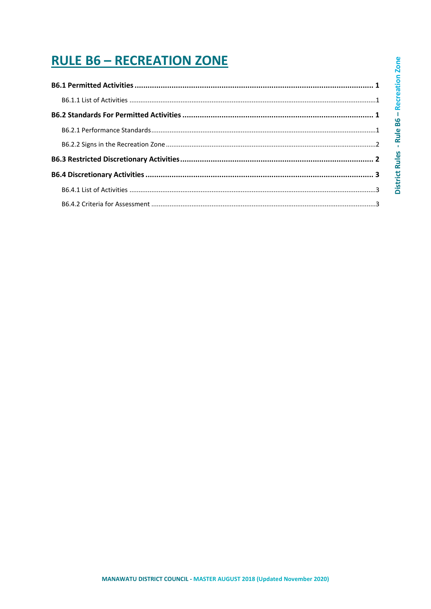# **RULE B6 - RECREATION ZONE**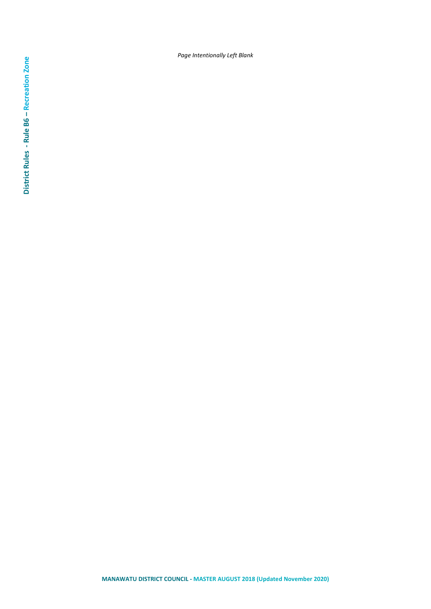*Page Intentionally Left Blank*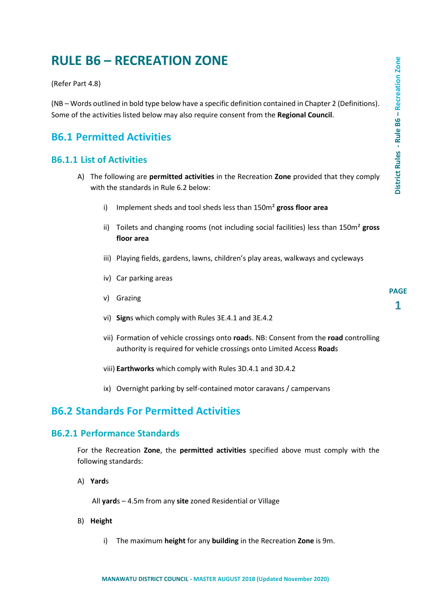**PAGE 1**

# **RULE B6 – RECREATION ZONE**

(Refer Part 4.8)

(NB – Words outlined in bold type below have a specific definition contained in Chapter 2 (Definitions). Some of the activities listed below may also require consent from the **Regional Council**.

# <span id="page-2-0"></span>**B6.1 Permitted Activities**

## <span id="page-2-1"></span>**B6.1.1 List of Activities**

- A) The following are **permitted activities** in the Recreation **Zone** provided that they comply with the standards in Rule 6.2 below:
	- i) Implement sheds and tool sheds less than 150m² **gross floor area**
	- ii) Toilets and changing rooms (not including social facilities) less than 150m² **gross floor area**
	- iii) Playing fields, gardens, lawns, children's play areas, walkways and cycleways
	- iv) Car parking areas
	- v) Grazing
	- vi) **Sign**s which comply with Rules 3E.4.1 and 3E.4.2
	- vii) Formation of vehicle crossings onto **road**s. NB: Consent from the **road** controlling authority is required for vehicle crossings onto Limited Access **Road**s
	- viii) **Earthworks** which comply with Rules 3D.4.1 and 3D.4.2
	- ix) Overnight parking by self-contained motor caravans / campervans

# <span id="page-2-2"></span>**B6.2 Standards For Permitted Activities**

## <span id="page-2-3"></span>**B6.2.1 Performance Standards**

For the Recreation **Zone**, the **permitted activities** specified above must comply with the following standards:

A) **Yard**s

All **yard**s – 4.5m from any **site** zoned Residential or Village

- B) **Height**
	- i) The maximum **height** for any **building** in the Recreation **Zone** is 9m.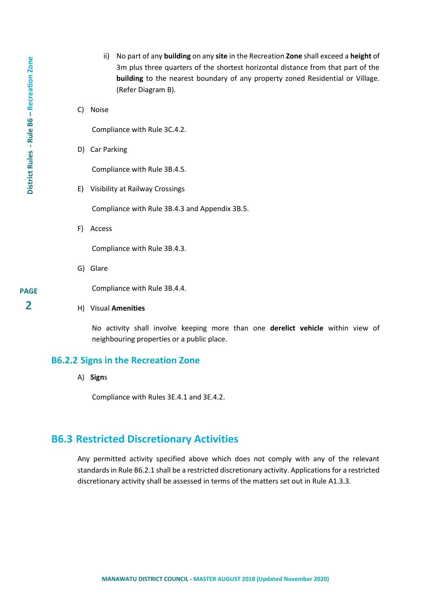- ii) No part of any **building** on any **site** in the Recreation **Zone** shall exceed a **height** of 3m plus three quarters of the shortest horizontal distance from that part of the **building** to the nearest boundary of any property zoned Residential or Village. (Refer Diagram B).
- C) Noise

Compliance with Rule 3C.4.2.

D) Car Parking

Compliance with Rule 3B.4.5.

E) Visibility at Railway Crossings

Compliance with Rule 3B.4.3 and Appendix 3B.5.

F) Access

Compliance with Rule 3B.4.3.

G) Glare

**District Rules - Rule B6** 

District Rules - Rule B6 - Recreation Zone

**– Recreation Zone**

Compliance with Rule 3B.4.4.

#### H) Visual **Amenities**

No activity shall involve keeping more than one **derelict vehicle** within view of neighbouring properties or a public place.

### <span id="page-3-0"></span>**B6.2.2 Signs in the Recreation Zone**

A) **Sign**s

Compliance with Rules 3E.4.1 and 3E.4.2.

## <span id="page-3-1"></span>**B6.3 Restricted Discretionary Activities**

Any permitted activity specified above which does not comply with any of the relevant standards in Rule B6.2.1 shall be a restricted discretionary activity. Applications for a restricted discretionary activity shall be assessed in terms of the matters set out in Rule A1.3.3.